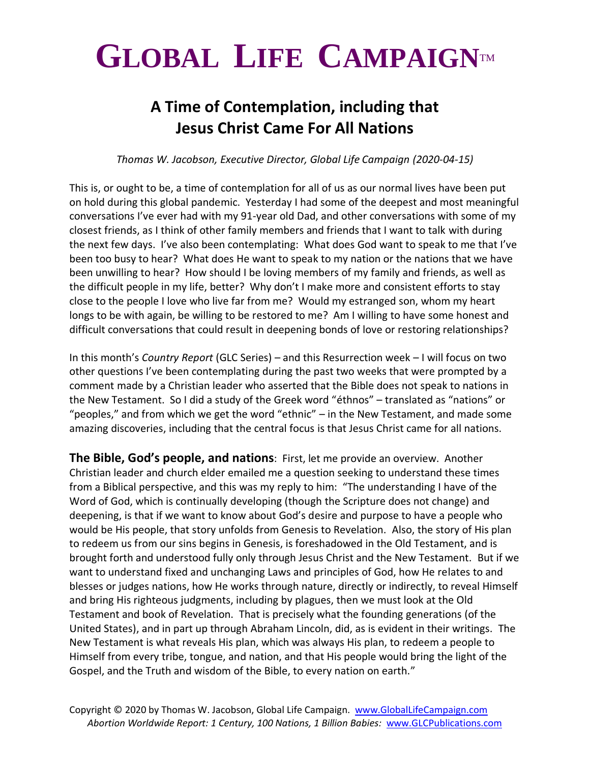## $GLOBAL$  **LIFE CAMPAIGNTM**

## **A Time of Contemplation, including that Jesus Christ Came For All Nations**

*Thomas W. Jacobson, Executive Director, Global Life Campaign (2020-04-15)*

This is, or ought to be, a time of contemplation for all of us as our normal lives have been put on hold during this global pandemic. Yesterday I had some of the deepest and most meaningful conversations I've ever had with my 91-year old Dad, and other conversations with some of my closest friends, as I think of other family members and friends that I want to talk with during the next few days. I've also been contemplating: What does God want to speak to me that I've been too busy to hear? What does He want to speak to my nation or the nations that we have been unwilling to hear? How should I be loving members of my family and friends, as well as the difficult people in my life, better? Why don't I make more and consistent efforts to stay close to the people I love who live far from me? Would my estranged son, whom my heart longs to be with again, be willing to be restored to me? Am I willing to have some honest and difficult conversations that could result in deepening bonds of love or restoring relationships?

In this month's *Country Report* (GLC Series) – and this Resurrection week – I will focus on two other questions I've been contemplating during the past two weeks that were prompted by a comment made by a Christian leader who asserted that the Bible does not speak to nations in the New Testament. So I did a study of the Greek word "éthnos" – translated as "nations" or "peoples," and from which we get the word "ethnic" – in the New Testament, and made some amazing discoveries, including that the central focus is that Jesus Christ came for all nations.

**The Bible, God's people, and nations**: First, let me provide an overview. Another Christian leader and church elder emailed me a question seeking to understand these times from a Biblical perspective, and this was my reply to him: "The understanding I have of the Word of God, which is continually developing (though the Scripture does not change) and deepening, is that if we want to know about God's desire and purpose to have a people who would be His people, that story unfolds from Genesis to Revelation. Also, the story of His plan to redeem us from our sins begins in Genesis, is foreshadowed in the Old Testament, and is brought forth and understood fully only through Jesus Christ and the New Testament. But if we want to understand fixed and unchanging Laws and principles of God, how He relates to and blesses or judges nations, how He works through nature, directly or indirectly, to reveal Himself and bring His righteous judgments, including by plagues, then we must look at the Old Testament and book of Revelation. That is precisely what the founding generations (of the United States), and in part up through Abraham Lincoln, did, as is evident in their writings. The New Testament is what reveals His plan, which was always His plan, to redeem a people to Himself from every tribe, tongue, and nation, and that His people would bring the light of the Gospel, and the Truth and wisdom of the Bible, to every nation on earth."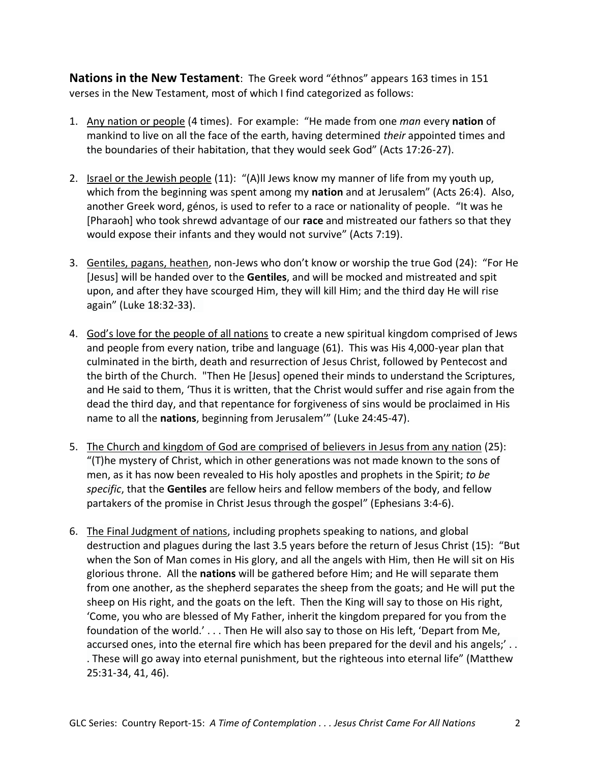**Nations in the New Testament**: The Greek word "éthnos" appears 163 times in 151 verses in the New Testament, most of which I find categorized as follows:

- 1. Any nation or people (4 times). For example: "He made from one *man* every **nation** of mankind to live on all the face of the earth, having determined *their* appointed times and the boundaries of their habitation, that they would seek God" (Acts 17:26-27).
- 2. Israel or the Jewish people (11): "(A)ll Jews know my manner of life from my youth up, which from the beginning was spent among my **nation** and at Jerusalem" (Acts 26:4). Also, another Greek word, génos, is used to refer to a race or nationality of people. "It was he [Pharaoh] who took shrewd advantage of our **race** and mistreated our fathers so that they would expose their infants and they would not survive" (Acts 7:19).
- 3. Gentiles, pagans, heathen, non-Jews who don't know or worship the true God (24): "For He [Jesus] will be handed over to the **Gentiles**, and will be mocked and mistreated and spit upon, and after they have scourged Him, they will kill Him; and the third day He will rise again" (Luke 18:32-33).
- 4. God's love for the people of all nations to create a new spiritual kingdom comprised of Jews and people from every nation, tribe and language (61). This was His 4,000-year plan that culminated in the birth, death and resurrection of Jesus Christ, followed by Pentecost and the birth of the Church. "Then He [Jesus] opened their minds to understand the Scriptures, and He said to them, 'Thus it is written, that the Christ would suffer and rise again from the dead the third day, and that repentance for forgiveness of sins would be proclaimed in His name to all the **nations**, beginning from Jerusalem'" (Luke 24:45-47).
- 5. The Church and kingdom of God are comprised of believers in Jesus from any nation (25): "(T)he mystery of Christ, which in other generations was not made known to the sons of men, as it has now been revealed to His holy apostles and prophets in the Spirit; *to be specific*, that the **Gentiles** are fellow heirs and fellow members of the body, and fellow partakers of the promise in Christ Jesus through the gospel" (Ephesians 3:4-6).
- 6. The Final Judgment of nations, including prophets speaking to nations, and global destruction and plagues during the last 3.5 years before the return of Jesus Christ (15): "But when the Son of Man comes in His glory, and all the angels with Him, then He will sit on His glorious throne. All the **nations** will be gathered before Him; and He will separate them from one another, as the shepherd separates the sheep from the goats; and He will put the sheep on His right, and the goats on the left. Then the King will say to those on His right, 'Come, you who are blessed of My Father, inherit the kingdom prepared for you from the foundation of the world.' . . . Then He will also say to those on His left, 'Depart from Me, accursed ones, into the eternal fire which has been prepared for the devil and his angels;' . . . These will go away into eternal punishment, but the righteous into eternal life" (Matthew 25:31-34, 41, 46).